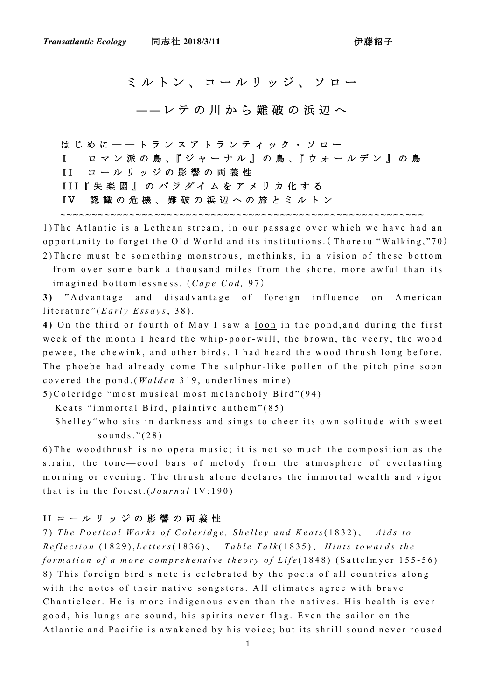ミルトン、コールリッジ、ソロー

**――**レテの川から難破の浜辺へ

はじめに――トランスアトランティック・ソロー I ロ マ ン 派 の 鳥 、『 ジ ャ ー ナ ル 』 の 鳥 、『 ウ ォ ー ル デ ン 』 の 鳥 II コールリッジの影響の両義性 III『失楽園』のパラダイムをアメリカ化する IV 認識の危機、難破の浜辺への旅とミルトン

**~~~~~~~~~~~~~~~~~~~~~~~~~~~~~~~~~~~~~~~~~~~~~~~~~~~~~~~~~~**

1) The Atlantic is a Lethean stream, in our passage over which we have had an opportunity to forget the Old World and its institutions. (Thoreau "Walking,"70) 2 ) There must be something monstrous, methinks, in a vision of these bottom from over some bank a thousand miles from the shore, more awful than its imagined bottomlessness. (*Cape Cod*, 97)

**3 )** " Advantage and disadvantage of foreign influence on American literature" (*Early Essays*, 38).

**4 )** On the third or fourth of May I saw a loon in the pond,and during the first week of the month I heard the whip-poor-will, the brown, the veery, the wood pewee, the chewink, and other birds. I had heard the wood thrush long before. The phoebe had already come The sulphur-like pollen of the pitch pine soon covered the pond . ( *Walden* 319, underlines mine)

5 )Coleridge "most musical most melancholy Bird" (94)

Keats "immortal Bird, plaintive anthem" (85)

 Shelley"who sits in darkness and sings to cheer its own solitude with sweet sounds." (28)

6 )The woodthrush is no opera music; it is not so much the composition as the strain, the tone-cool bars of melody from the atmosphere of everlasting morning or evening. The thrush alone declares the immortal wealth and vigor that is in the forest.( *Journal* IV:190)

## **I I** コールリッジの影響の両義性

7 ) *The Poetical Works of Coleridge, Shelley and Keats*(1832) 、 *Aids to Reflection* (1829), *Letters*(1836) 、 *Table Talk* (1835) 、 *Hints towards the formation of a more comprehensive theory of Life* (1848) (Sattelmyer 155-56) 8 ) This foreign bird's note is celebrated by the poets of all countries along with the notes of their native songsters. All climates agree with brave Chanticleer. He is more indigenous even than the natives. His health is ever good, his lungs are sound, his spirits never flag. Even the sailor on the Atlantic and Pacific is awakened by his voice; but its shrill sound never roused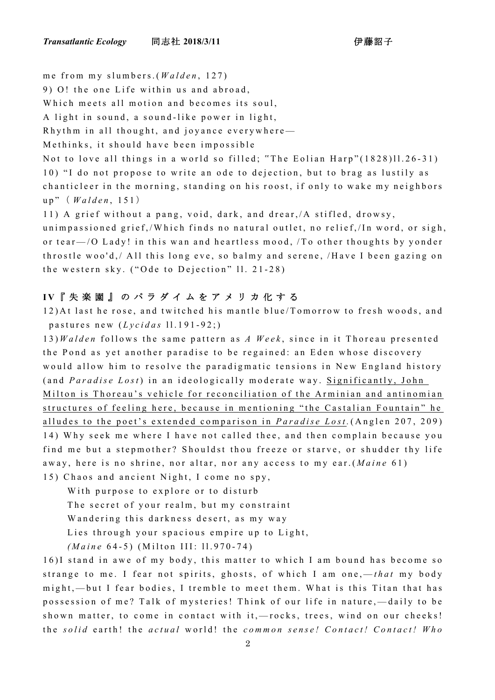me from my slumbers. ( *Walden* , 127)

9 ) O! the one Life within us and abroad,

Which meets all motion and becomes its soul,

A light in sound, a sound-like power in light,

Rhythm in all thought, and joyance everywhere-

Methinks, it should have been impossible

Not to love all things in a world so filled; "The Eolian Harp"(1828)11.26-31) 10) "I do not propose to write an ode to dejection, but to brag as lustily as chanticleer in the morning, standing on his roost, if only to wake my neighbors up" ( *Walden* , 151 )

11) A grief without a pang, void, dark, and drear, /A stifled, drowsy, unimpassioned grief, / Which finds no natural outlet, no relief, / In word, or sigh, or tear  $-$  /O Lady! in this wan and heartless mood,  $/$ To other thoughts by yonder throstle woo'd, / All this long eve, so balmy and serene, /Have I been gazing on the western sky. ("Ode to Dejection" 11. 21-28)

## **I V** 『失楽園』のパラダイムをアメリカ化する

1 2 ) At last he rose, and twitched his mantle blue/Tomorrow to fresh woods, and pastures new (*Lycidas* 11.191-92;)

1 3 ) *Walden* follows the same pattern as *A Week* , since in it Thoreau presented the Pond as yet another paradise to be regained: an Eden whose discovery would allow him to resolve the paradigmatic tensions in New England history (and *Paradise Lost* ) in an ideologically moderate way. Significantly, John M ilton is Thoreau's vehicle for reconciliation of the Arminian and antinomian structures of feeling here, because in mentioning "the Castalian Fountain" he alludes to the poet's extended comparison in *Paradise Lost .* (Anglen 207, 209 ) 1 4 ) Why seek me where I have not called thee, and then complain because you find me but a stepmother? Shouldst thou freeze or starve, or shudder thy life away, here is no shrine, nor altar, nor any access to my ear. ( *Maine* 61) 15) Chaos and ancient Night, I come no spy,

 With purpose to explore or to disturb The secret of your realm, but my constraint Wandering this darkness desert, as my way Lies through your spacious empire up to Light, *(Maine* 6 4 - 5) (Milton III: ll. 970 - 74)

16) I stand in awe of my body, this matter to which I am bound has become so strange to me. I fear not spirits, ghosts, of which I am one,— *that* my body might, — but I fear bodies, I tremble to meet them. What is this Titan that has possession of me? Talk of mysteries! Think of our life in nature, — daily to be shown matter, to come in contact with it,-rocks, trees, wind on our cheeks! the *solid* earth! the *actual* world! the *common sense! Contact! Contact! Who*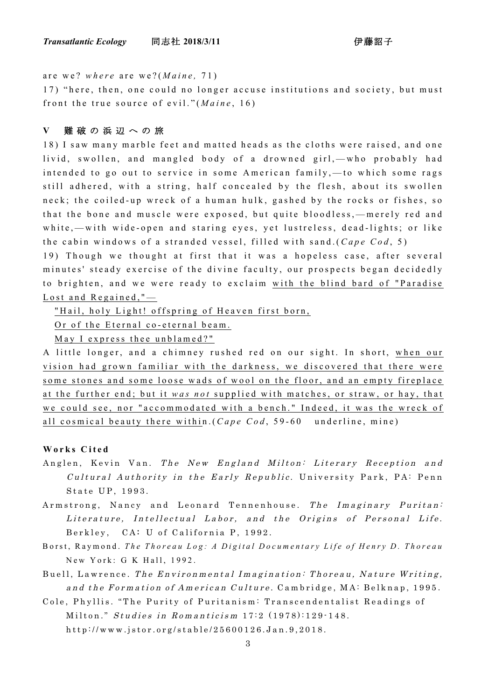are we? *where* are we? ( *Maine ,* 71)

17) "here, then, one could no longer accuse institutions and society, but must front the true source of evil." (*Maine*, 16)

## **V** 難破の浜辺への旅

1 8 ) I saw many marble feet and matted heads as the cloths were raised, and one livid, swollen, and mangled body of a drowned girl,—who probably had intended to go out to service in some American family, — to which some rags still adhered, with a string, half con cealed by the flesh, about its swollen neck; the coiled-up wreck of a human hulk, gashed by the rocks or fishes, so that the bone and muscle were exposed, but quite bloodless, — merely red and white, - with wide-open and staring eyes, yet lustreless, dead-lights; or like the cabin windows of a stranded vessel, filled with sand.(*Cape Cod*, 5)

19) Though we thought at first that it was a hopeless case, after several minutes' steady exercise of the divine faculty, our prospects began decidedly to brighten, and we were ready to exclaim with the blind bard of "Paradise Lost and Regained,"-

"Hail, holy Light! offspring of Heaven first born,

Or of the Eternal co-eternal beam.

May I express thee unblamed?"

A little longer, and a chimney rushed red on our sight. In short, when our vision had grown familiar with the darkness, we discovered that there were some stones and some loose wads of wool on the floor, and an empty fireplace at the further end; but it *was not* supplied with matches, or straw, or hay, that we could see, nor "accommodated with a bench." Indeed, it was the wreck of all cosmical beauty there within. (*Cape Cod*, 59-60 underline, mine)

## **Works Cited**

- Anglen, Kevin Van. The New England Milton: Literary Reception and Cultural Authority in the Early Republic . University Park, PA: Penn State UP, 1993.
- Armstrong, Nancy and Leonard Tennenhouse. The Imaginary Puritan: Literature, Intellectual Labor, and the Origins of Personal Life. Berkley, CA: U of California P, 1992.
- Borst, Raymond. The Thoreau Log: A Digital Documentary Life of Henry D. Thoreau New York: G K Hall, 1992.
- Buell, Lawrence. The Environmental Imagination: Thoreau, Nature Writing, and the Formation of American Culture. Cambridge, MA: Belknap, 1995.

Cole, Phyllis. " The Purity of Puritanism: T ranscendentalist Readings of Milton." Studies in Romanticism  $17:2$   $(1978):129-148$ . http://www.jstor.org/stable/25600126.Jan.9,2018.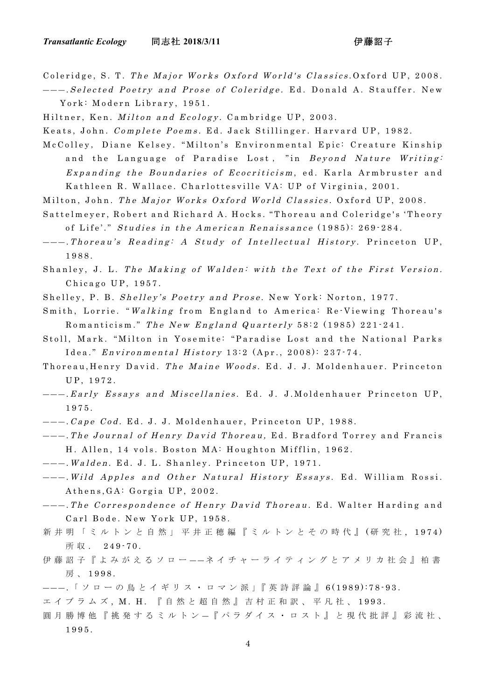Coleridge, S. T. The Major Works Oxford World's Classics .Oxford UP, 2008. ――― . Selected Poetry and Prose of Coleridge. E d. Donald A. Stauffer. New

York: Modern Library, 1951.

Hiltner, Ken. Milton and Ecology. Cambridge UP, 2003.

Keats, John. Complete Poems. Ed. Jack Stillinger. Harvard UP, 1982.

McColley, Diane Kelsey. "Milton's Environmental Epic: Creature Kinship and the Language of Paradise Lost, "in Beyond Nature Writing: Expanding the Boundaries of Ecocriticism, ed. Karla Armbruster and Kathleen R. Wallace. Charlottesville VA: UP of Virginia, 2001.

- Milton, John. The Major Works Oxford World Classics . Oxford UP, 2008.
- Sattelmeyer, Robert and Richard A. Hocks. " Thoreau and Coleridge's 'Theory of Life'." Studies in the American Renaissance (1985): 269 - 284.
- ――― . Thoreau's Reading: A Study of Intellectual History . Princeton UP, 1988.
- Shanley, J. L. The Making of Walden: with the Text of the First Version. Chicago UP, 1957.

Shelley, P. B. Shelley's Poetry and Prose . New York: Norton, 1977.

- Smith, Lorrie. " Walking from England to America: Re Viewing Thoreau's Romanticism." The New England Quarterly 58:2 (1985) 221-241.
- Stoll, Mark. "Milton in Yosemite: "Paradise Lost and the National Parks Idea." Environmental History 13:2 (Apr., 2008): 237 - 74.
- Thoreau, Henry David. The Maine Woods. Ed. J. J. Moldenhauer. Princeton UP, 1972.
- ――― . Early Essays and Miscellanies . Ed. J. J.Mo ldenhauer Princeton UP, 1975.
- ――― . Cape Cod. Ed. J. J. Moldenhauer, Princeton UP, 1988.
- ――― . The Journal of Henry David Thoreau, E d. Bradford Torrey and Francis H. Allen, 14 vols. Boston MA: Houghton Mifflin, 1962.
- ――― . Walden . Ed. J. L. Shanley . Princeton UP, 1971.
- ――― . Wild Apples and Other Natural History Essays . Ed. William Rossi. Athens,GA: Gorgia UP, 2002.
- ---. The Correspondence of Henry David Thoreau. Ed. Walter Harding and Carl Bode. New York UP, 1958.
- 新井明「ミルトンと自然」平井正穂編『ミルトンとその時代』 (研究社, 1974) 所 収 . 249-70.
- 伊藤詔子『よみがえるソロー ― ― ネイチャーライティングとアメリカ社会』柏書 房 、 1998.
- ――― . 「 ソ ロ ー の 鳥 と イ ギ リ ス ・ ロ マ ン 派 」『 英 詩 評 論 』 6(1989):78 9 3 .
- エイブラムズ, M. H. 『自然と超自然』吉村正和訳、平凡社、1993.
- 圓月勝博他『挑発するミルトン ― 『パラダイス・ロスト』と現代批評』彩流社、 1995.